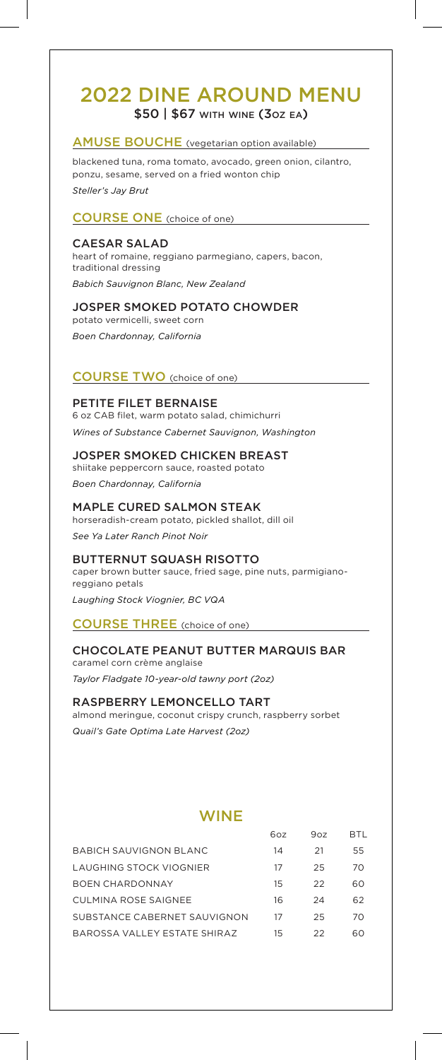# 2022 DINE AROUND MENU \$50 | \$67 with wine (3oz ea)

### AMUSE BOUCHE (vegetarian option available)

blackened tuna, roma tomato, avocado, green onion, cilantro, ponzu, sesame, served on a fried wonton chip *Steller's Jay Brut* 

COURSE ONE (choice of one)

#### CAESAR SALAD

heart of romaine, reggiano parmegiano, capers, bacon, traditional dressing *Babich Sauvignon Blanc, New Zealand*

#### JOSPER SMOKED POTATO CHOWDER

potato vermicelli, sweet corn *Boen Chardonnay, California*

## COURSE TWO (choice of one)

PETITE FILET BERNAISE 6 oz CAB filet, warm potato salad, chimichurri *Wines of Substance Cabernet Sauvignon, Washington*

JOSPER SMOKED CHICKEN BREAST shiitake peppercorn sauce, roasted potato *Boen Chardonnay, California*

MAPLE CURED SALMON STEAK horseradish-cream potato, pickled shallot, dill oil *See Ya Later Ranch Pinot Noir*

BUTTERNUT SQUASH RISOTTO caper brown butter sauce, fried sage, pine nuts, parmigianoreggiano petals

*Laughing Stock Viognier, BC VQA*

COURSE THREE (choice of one)

#### CHOCOLATE PEANUT BUTTER MARQUIS BAR caramel corn crème anglaise

*Taylor Fladgate 10-year-old tawny port (2oz)*

RASPBERRY LEMONCELLO TART almond meringue, coconut crispy crunch, raspberry sorbet *Quail's Gate Optima Late Harvest (2oz)*

# **WINE**

|                                | 60z | 90z | BTI. |
|--------------------------------|-----|-----|------|
| BABICH SAUVIGNON BLANC         | 14  | 21  | 55   |
| <b>LAUGHING STOCK VIOGNIER</b> | 17  | 25  | 70   |
| BOEN CHARDONNAY                | 15  | 22  | 60   |
| CULMINA ROSE SAIGNEE           | 16  | 24  | 62   |
| SUBSTANCE CABERNET SAUVIGNON   | 17  | 25  | 70   |
| BAROSSA VALLEY ESTATE SHIRAZ   | 15  | 22  | 60   |